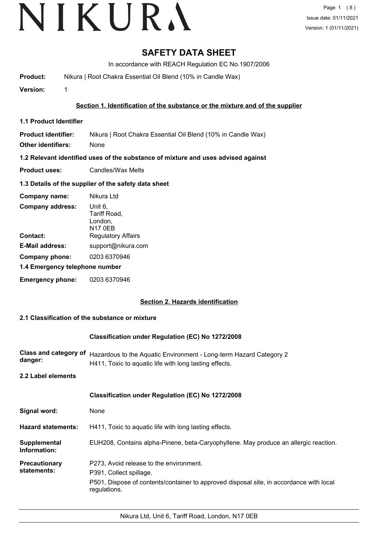# **SAFETY DATA SHEET**

In accordance with REACH Regulation EC No.1907/2006

**Product:** Nikura | Root Chakra Essential Oil Blend (10% in Candle Wax)

**Version:** 1

## **Section 1. Identification of the substance or the mixture and of the supplier**

**1.1 Product Identifier**

**Product identifier:** Nikura | Root Chakra Essential Oil Blend (10% in Candle Wax)

**Other identifiers:** None

**1.2 Relevant identified uses of the substance of mixture and uses advised against**

**Product uses:** Candles/Wax Melts

#### **1.3 Details of the supplier of the safety data sheet**

| Company name:                  | Nikura Ltd                                           |  |
|--------------------------------|------------------------------------------------------|--|
| <b>Company address:</b>        | Unit 6,<br>Tariff Road,<br>London,<br><b>N17 0EB</b> |  |
| Contact:                       | <b>Regulatory Affairs</b>                            |  |
| <b>E-Mail address:</b>         | support@nikura.com                                   |  |
| Company phone:                 | 0203 6370946                                         |  |
| 1.4 Emergency telephone number |                                                      |  |
| <b>Emergency phone:</b>        | 0203 6370946                                         |  |

#### **Section 2. Hazards identification**

#### **2.1 Classification of the substance or mixture**

#### **Classification under Regulation (EC) No 1272/2008**

| danger: | Class and category of Hazardous to the Aquatic Environment - Long-term Hazard Category 2 |
|---------|------------------------------------------------------------------------------------------|
|         | H411, Toxic to aquatic life with long lasting effects.                                   |

**2.2 Label elements**

|                                     | Classification under Regulation (EC) No 1272/2008                                                                                                                             |
|-------------------------------------|-------------------------------------------------------------------------------------------------------------------------------------------------------------------------------|
| Signal word:                        | None                                                                                                                                                                          |
| <b>Hazard statements:</b>           | H411, Toxic to aquatic life with long lasting effects.                                                                                                                        |
| Supplemental<br>Information:        | EUH208, Contains alpha-Pinene, beta-Caryophyllene. May produce an allergic reaction.                                                                                          |
| <b>Precautionary</b><br>statements: | P273, Avoid release to the environment.<br>P391, Collect spillage.<br>P501, Dispose of contents/container to approved disposal site, in accordance with local<br>regulations. |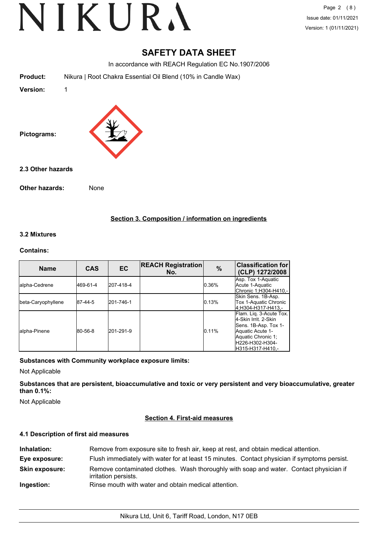Page 2 (8) Issue date: 01/11/2021 Version: 1 (01/11/2021)

# **SAFETY DATA SHEET**

In accordance with REACH Regulation EC No.1907/2006

**Product:** Nikura | Root Chakra Essential Oil Blend (10% in Candle Wax)

**Version:** 1



**2.3 Other hazards**

**Other hazards:** None

**Section 3. Composition / information on ingredients**

#### **3.2 Mixtures**

#### **Contains:**

| <b>Name</b>        | <b>CAS</b> | <b>EC</b> | <b>REACH Registration</b><br>No. | $\%$  | <b>Classification for</b><br>(CLP) 1272/2008                                                                                                               |
|--------------------|------------|-----------|----------------------------------|-------|------------------------------------------------------------------------------------------------------------------------------------------------------------|
| alpha-Cedrene      | 469-61-4   | 207-418-4 |                                  | 0.36% | Asp. Tox 1-Aquatic<br>Acute 1-Aquatic<br> Chronic 1:H304-H410.-                                                                                            |
| beta-Caryophyllene | 87-44-5    | 201-746-1 |                                  | 0.13% | Skin Sens. 1B-Asp.<br>Tox 1-Aquatic Chronic<br>4:H304-H317-H413.-                                                                                          |
| lalpha-Pinene      | 80-56-8    | 201-291-9 |                                  | 0.11% | Flam. Lig. 3-Acute Tox.<br>4-Skin Irrit, 2-Skin<br>Sens. 1B-Asp. Tox 1-<br>Aquatic Acute 1-<br>Aquatic Chronic 1;<br>IH226-H302-H304-<br>IH315-H317-H410.- |

**Substances with Community workplace exposure limits:**

Not Applicable

**Substances that are persistent, bioaccumulative and toxic or very persistent and very bioaccumulative, greater than 0.1%:**

Not Applicable

#### **Section 4. First-aid measures**

## **4.1 Description of first aid measures**

| Inhalation:           | Remove from exposure site to fresh air, keep at rest, and obtain medical attention.                            |
|-----------------------|----------------------------------------------------------------------------------------------------------------|
| Eye exposure:         | Flush immediately with water for at least 15 minutes. Contact physician if symptoms persist.                   |
| <b>Skin exposure:</b> | Remove contaminated clothes. Wash thoroughly with soap and water. Contact physician if<br>irritation persists. |
| Ingestion:            | Rinse mouth with water and obtain medical attention.                                                           |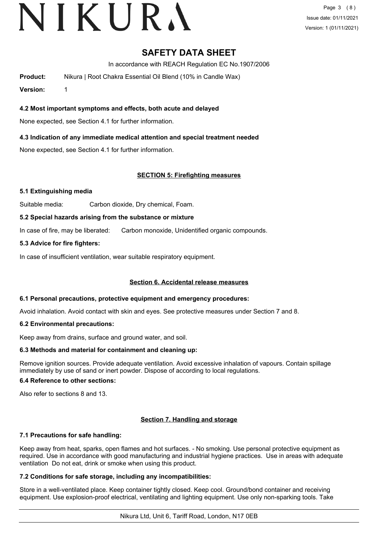# VIKURA

# **SAFETY DATA SHEET**

In accordance with REACH Regulation EC No.1907/2006

**Product:** Nikura | Root Chakra Essential Oil Blend (10% in Candle Wax)

**Version:** 1

**4.2 Most important symptoms and effects, both acute and delayed**

None expected, see Section 4.1 for further information.

## **4.3 Indication of any immediate medical attention and special treatment needed**

None expected, see Section 4.1 for further information.

## **SECTION 5: Firefighting measures**

#### **5.1 Extinguishing media**

Suitable media: Carbon dioxide, Dry chemical, Foam.

#### **5.2 Special hazards arising from the substance or mixture**

In case of fire, may be liberated: Carbon monoxide, Unidentified organic compounds.

## **5.3 Advice for fire fighters:**

In case of insufficient ventilation, wear suitable respiratory equipment.

#### **Section 6. Accidental release measures**

#### **6.1 Personal precautions, protective equipment and emergency procedures:**

Avoid inhalation. Avoid contact with skin and eyes. See protective measures under Section 7 and 8.

#### **6.2 Environmental precautions:**

Keep away from drains, surface and ground water, and soil.

#### **6.3 Methods and material for containment and cleaning up:**

Remove ignition sources. Provide adequate ventilation. Avoid excessive inhalation of vapours. Contain spillage immediately by use of sand or inert powder. Dispose of according to local regulations.

#### **6.4 Reference to other sections:**

Also refer to sections 8 and 13.

# **Section 7. Handling and storage**

#### **7.1 Precautions for safe handling:**

Keep away from heat, sparks, open flames and hot surfaces. - No smoking. Use personal protective equipment as required. Use in accordance with good manufacturing and industrial hygiene practices. Use in areas with adequate ventilation Do not eat, drink or smoke when using this product.

# **7.2 Conditions for safe storage, including any incompatibilities:**

Store in a well-ventilated place. Keep container tightly closed. Keep cool. Ground/bond container and receiving equipment. Use explosion-proof electrical, ventilating and lighting equipment. Use only non-sparking tools. Take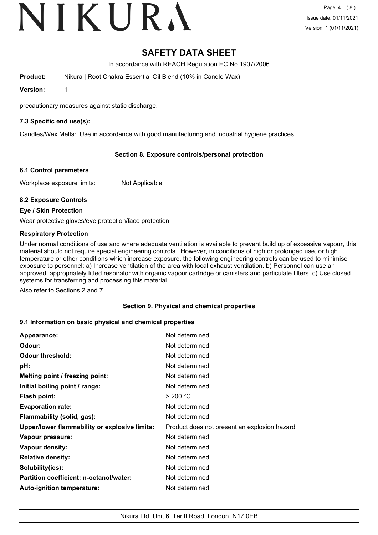# VIKURA

# **SAFETY DATA SHEET**

In accordance with REACH Regulation EC No.1907/2006

**Product:** Nikura | Root Chakra Essential Oil Blend (10% in Candle Wax)

**Version:** 1

precautionary measures against static discharge.

## **7.3 Specific end use(s):**

Candles/Wax Melts: Use in accordance with good manufacturing and industrial hygiene practices.

## **Section 8. Exposure controls/personal protection**

#### **8.1 Control parameters**

Workplace exposure limits: Not Applicable

#### **8.2 Exposure Controls**

**Eye / Skin Protection**

Wear protective gloves/eye protection/face protection

#### **Respiratory Protection**

Under normal conditions of use and where adequate ventilation is available to prevent build up of excessive vapour, this material should not require special engineering controls. However, in conditions of high or prolonged use, or high temperature or other conditions which increase exposure, the following engineering controls can be used to minimise exposure to personnel: a) Increase ventilation of the area with local exhaust ventilation. b) Personnel can use an approved, appropriately fitted respirator with organic vapour cartridge or canisters and particulate filters. c) Use closed systems for transferring and processing this material.

Also refer to Sections 2 and 7.

#### **Section 9. Physical and chemical properties**

#### **9.1 Information on basic physical and chemical properties**

| Appearance:                                   | Not determined                               |
|-----------------------------------------------|----------------------------------------------|
| Odour:                                        | Not determined                               |
| <b>Odour threshold:</b>                       | Not determined                               |
| pH:                                           | Not determined                               |
| Melting point / freezing point:               | Not determined                               |
| Initial boiling point / range:                | Not determined                               |
| <b>Flash point:</b>                           | > 200 °C                                     |
| <b>Evaporation rate:</b>                      | Not determined                               |
| Flammability (solid, gas):                    | Not determined                               |
| Upper/lower flammability or explosive limits: | Product does not present an explosion hazard |
| Vapour pressure:                              | Not determined                               |
| Vapour density:                               | Not determined                               |
| <b>Relative density:</b>                      | Not determined                               |
| Solubility(ies):                              | Not determined                               |
| Partition coefficient: n-octanol/water:       | Not determined                               |
| Auto-ignition temperature:                    | Not determined                               |
|                                               |                                              |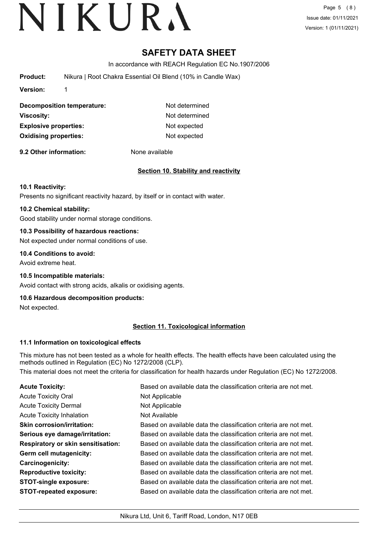# **SAFETY DATA SHEET**

In accordance with REACH Regulation EC No.1907/2006

**Product:** Nikura | Root Chakra Essential Oil Blend (10% in Candle Wax)

**Version:** 1

**Decomposition temperature:** Not determined **Viscosity:** Not determined **Explosive properties:** Not expected **Oxidising properties:** Not expected

**9.2 Other information:** None available

# **Section 10. Stability and reactivity**

## **10.1 Reactivity:**

Presents no significant reactivity hazard, by itself or in contact with water.

## **10.2 Chemical stability:**

Good stability under normal storage conditions.

## **10.3 Possibility of hazardous reactions:**

Not expected under normal conditions of use.

## **10.4 Conditions to avoid:**

Avoid extreme heat.

#### **10.5 Incompatible materials:**

Avoid contact with strong acids, alkalis or oxidising agents.

#### **10.6 Hazardous decomposition products:**

Not expected.

# **Section 11. Toxicological information**

#### **11.1 Information on toxicological effects**

This mixture has not been tested as a whole for health effects. The health effects have been calculated using the methods outlined in Regulation (EC) No 1272/2008 (CLP).

This material does not meet the criteria for classification for health hazards under Regulation (EC) No 1272/2008.

| <b>Acute Toxicity:</b>                    | Based on available data the classification criteria are not met. |
|-------------------------------------------|------------------------------------------------------------------|
| <b>Acute Toxicity Oral</b>                | Not Applicable                                                   |
| <b>Acute Toxicity Dermal</b>              | Not Applicable                                                   |
| <b>Acute Toxicity Inhalation</b>          | Not Available                                                    |
| <b>Skin corrosion/irritation:</b>         | Based on available data the classification criteria are not met. |
| Serious eye damage/irritation:            | Based on available data the classification criteria are not met. |
| <b>Respiratory or skin sensitisation:</b> | Based on available data the classification criteria are not met. |
| Germ cell mutagenicity:                   | Based on available data the classification criteria are not met. |
| Carcinogenicity:                          | Based on available data the classification criteria are not met. |
| <b>Reproductive toxicity:</b>             | Based on available data the classification criteria are not met. |
| <b>STOT-single exposure:</b>              | Based on available data the classification criteria are not met. |
| <b>STOT-repeated exposure:</b>            | Based on available data the classification criteria are not met. |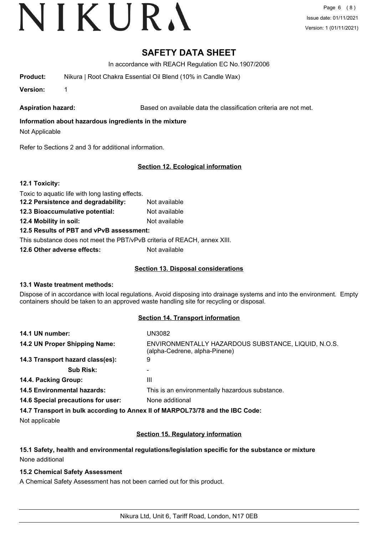# **SAFETY DATA SHEET**

In accordance with REACH Regulation EC No.1907/2006

**Product:** Nikura | Root Chakra Essential Oil Blend (10% in Candle Wax)

**Version:** 1

Aspiration hazard: **Based on available data the classification criteria are not met.** 

# **Information about hazardous ingredients in the mixture**

Not Applicable

Refer to Sections 2 and 3 for additional information.

# **Section 12. Ecological information**

**12.1 Toxicity:**

Toxic to aquatic life with long lasting effects.

- **12.2 Persistence and degradability:** Not available
- **12.3 Bioaccumulative potential:** Not available

**12.4 Mobility in soil:** Not available

# **12.5 Results of PBT and vPvB assessment:**

This substance does not meet the PBT/vPvB criteria of REACH, annex XIII.

**12.6 Other adverse effects:** Not available

## **Section 13. Disposal considerations**

# **13.1 Waste treatment methods:**

Dispose of in accordance with local regulations. Avoid disposing into drainage systems and into the environment. Empty containers should be taken to an approved waste handling site for recycling or disposal.

# **Section 14. Transport information**

| 14.1 UN number:                    | UN3082                                                                               |
|------------------------------------|--------------------------------------------------------------------------------------|
| 14.2 UN Proper Shipping Name:      | ENVIRONMENTALLY HAZARDOUS SUBSTANCE, LIQUID, N.O.S.<br>(alpha-Cedrene, alpha-Pinene) |
| 14.3 Transport hazard class(es):   | 9                                                                                    |
| <b>Sub Risk:</b>                   |                                                                                      |
| 14.4. Packing Group:               | Ш                                                                                    |
| <b>14.5 Environmental hazards:</b> | This is an environmentally hazardous substance.                                      |
| 14.6 Special precautions for user: | None additional                                                                      |
|                                    |                                                                                      |

**14.7 Transport in bulk according to Annex II of MARPOL73/78 and the IBC Code:**

Not applicable

# **Section 15. Regulatory information**

# **15.1 Safety, health and environmental regulations/legislation specific for the substance or mixture** None additional

# **15.2 Chemical Safety Assessment**

A Chemical Safety Assessment has not been carried out for this product.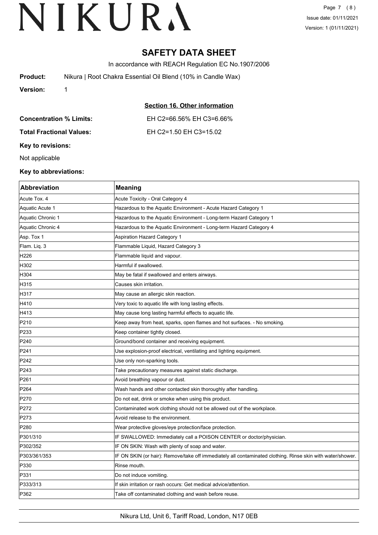Page 7 (8) Issue date: 01/11/2021 Version: 1 (01/11/2021)

# **SAFETY DATA SHEET**

In accordance with REACH Regulation EC No.1907/2006

| <b>Product:</b> | Nikura   Root Chakra Essential Oil Blend (10% in Candle Wax) |
|-----------------|--------------------------------------------------------------|
| <b>Version:</b> |                                                              |

|                                 | Section 16. Other information |
|---------------------------------|-------------------------------|
| <b>Concentration % Limits:</b>  | EH C2=66.56% EH C3=6.66%      |
| <b>Total Fractional Values:</b> | EH C2=1.50 EH C3=15.02        |

**Key to revisions:**

Not applicable

# **Key to abbreviations:**

| Abbreviation      | <b>Meaning</b>                                                                                             |
|-------------------|------------------------------------------------------------------------------------------------------------|
| Acute Tox, 4      | Acute Toxicity - Oral Category 4                                                                           |
| Aquatic Acute 1   | Hazardous to the Aquatic Environment - Acute Hazard Category 1                                             |
| Aquatic Chronic 1 | Hazardous to the Aquatic Environment - Long-term Hazard Category 1                                         |
| Aquatic Chronic 4 | Hazardous to the Aquatic Environment - Long-term Hazard Category 4                                         |
| Asp. Tox 1        | <b>Aspiration Hazard Category 1</b>                                                                        |
| Flam. Liq. 3      | Flammable Liquid, Hazard Category 3                                                                        |
| H226              | Flammable liquid and vapour.                                                                               |
| H302              | Harmful if swallowed.                                                                                      |
| H304              | May be fatal if swallowed and enters airways.                                                              |
| H315              | Causes skin irritation.                                                                                    |
| H317              | May cause an allergic skin reaction.                                                                       |
| H410              | Very toxic to aquatic life with long lasting effects.                                                      |
| H413              | May cause long lasting harmful effects to aquatic life.                                                    |
| P210              | Keep away from heat, sparks, open flames and hot surfaces. - No smoking.                                   |
| P233              | Keep container tightly closed.                                                                             |
| P240              | Ground/bond container and receiving equipment.                                                             |
| P241              | Use explosion-proof electrical, ventilating and lighting equipment.                                        |
| P242              | Use only non-sparking tools.                                                                               |
| P243              | Take precautionary measures against static discharge.                                                      |
| P261              | Avoid breathing vapour or dust.                                                                            |
| P264              | Wash hands and other contacted skin thoroughly after handling.                                             |
| P270              | Do not eat, drink or smoke when using this product.                                                        |
| P272              | Contaminated work clothing should not be allowed out of the workplace.                                     |
| P273              | Avoid release to the environment.                                                                          |
| P280              | Wear protective gloves/eye protection/face protection.                                                     |
| P301/310          | IF SWALLOWED: Immediately call a POISON CENTER or doctor/physician.                                        |
| P302/352          | IF ON SKIN: Wash with plenty of soap and water.                                                            |
| P303/361/353      | IF ON SKIN (or hair): Remove/take off immediately all contaminated clothing. Rinse skin with water/shower. |
| P330              | Rinse mouth.                                                                                               |
| P331              | Do not induce vomiting.                                                                                    |
| P333/313          | If skin irritation or rash occurs: Get medical advice/attention.                                           |
| P362              | Take off contaminated clothing and wash before reuse.                                                      |
|                   |                                                                                                            |